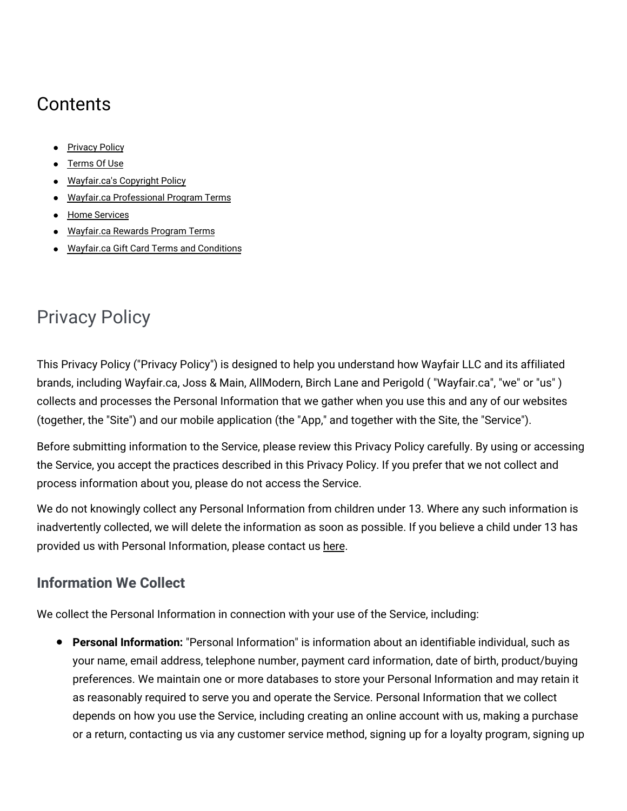# **Contents**

- **[Privacy](#privacy) Policy**
- [Terms](#terms) Of Use
- [Wayfair.ca's](#copyright) Copyright Policy
- Wayfair.ca [Professional](#professionalprogram) Program Terms
- · Home [Services](#homesvcs)
- [Wayfair.ca](#rewards) Rewards Program Terms
- Wayfair.ca Gift Card Terms and [Conditions](#gcterms)

# Privacy Policy

This Privacy Policy ("Privacy Policy") is designed to help you understand how Wayfair LLC and its affiliated brands, including Wayfair.ca, Joss & Main, AllModern, Birch Lane and Perigold ( "Wayfair.ca", "we" or "us" ) collects and processes the Personal Information that we gather when you use this and any of our websites (together, the "Site") and our mobile application (the "App," and together with the Site, the "Service").

Before submitting information to the Service, please review this Privacy Policy carefully. By using or accessing the Service, you accept the practices described in this Privacy Policy. If you prefer that we not collect and process information about you, please do not access the Service.

We do not knowingly collect any Personal Information from children under 13. Where any such information is inadvertently collected, we will delete the information as soon as possible. If you believe a child under 13 has provided us with Personal Information, please contact us [here.](https://www.wayfair.ca/contact_us)

# **Information We Collect**

We collect the Personal Information in connection with your use of the Service, including:

**Personal Information:** "Personal Information" is information about an identifiable individual, such as your name, email address, telephone number, payment card information, date of birth, product/buying preferences. We maintain one or more databases to store your Personal Information and may retain it as reasonably required to serve you and operate the Service. Personal Information that we collect depends on how you use the Service, including creating an online account with us, making a purchase or a return, contacting us via any customer service method, signing up for a loyalty program, signing up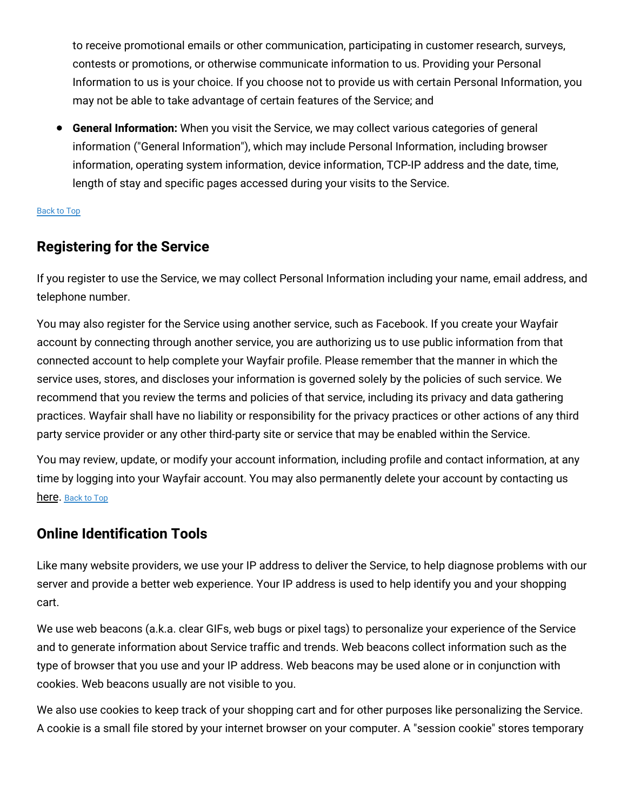to receive promotional emails or other communication, participating in customer research, surveys, contests or promotions, or otherwise communicate information to us. Providing your Personal Information to us is your choice. If you choose not to provide us with certain Personal Information, you may not be able to take advantage of certain features of the Service; and

**General Information:** When you visit the Service, we may collect various categories of general information ("General Information"), which may include Personal Information, including browser information, operating system information, device information, TCP-IP address and the date, time, length of stay and specific pages accessed during your visits to the Service.

#### [Back](#top) to Top

#### **Registering for the Service**

If you register to use the Service, we may collect Personal Information including your name, email address, and telephone number.

You may also register for the Service using another service, such as Facebook. If you create your Wayfair account by connecting through another service, you are authorizing us to use public information from that connected account to help complete your Wayfair profile. Please remember that the manner in which the service uses, stores, and discloses your information is governed solely by the policies of such service. We recommend that you review the terms and policies of that service, including its privacy and data gathering practices. Wayfair shall have no liability or responsibility for the privacy practices or other actions of any third party service provider or any other third-party site or service that may be enabled within the Service.

You may review, update, or modify your account information, including profile and contact information, at any time by logging into your Wayfair account. You may also permanently delete your account by contacting us [here.](https://www.wayfair.ca/contact_us) [Back](#top) to Top

#### **Online Identification Tools**

Like many website providers, we use your IP address to deliver the Service, to help diagnose problems with our server and provide a better web experience. Your IP address is used to help identify you and your shopping cart.

We use web beacons (a.k.a. clear GIFs, web bugs or pixel tags) to personalize your experience of the Service and to generate information about Service traffic and trends. Web beacons collect information such as the type of browser that you use and your IP address. Web beacons may be used alone or in conjunction with cookies. Web beacons usually are not visible to you.

We also use cookies to keep track of your shopping cart and for other purposes like personalizing the Service. A cookie is a small file stored by your internet browser on your computer. A "session cookie" stores temporary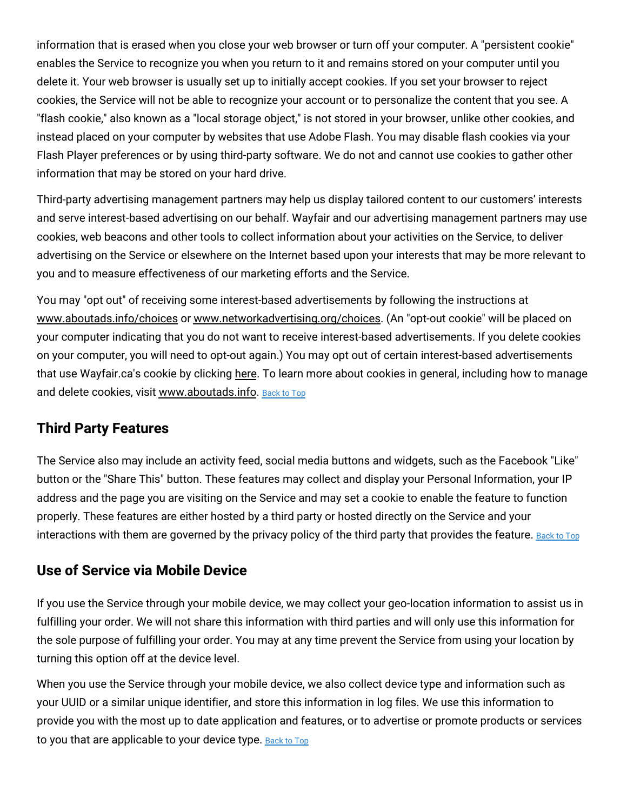information that is erased when you close your web browser or turn off your computer. A "persistent cookie" enables the Service to recognize you when you return to it and remains stored on your computer until you delete it. Your web browser is usually set up to initially accept cookies. If you set your browser to reject cookies, the Service will not be able to recognize your account or to personalize the content that you see. A "flash cookie," also known as a "local storage object," is not stored in your browser, unlike other cookies, and instead placed on your computer by websites that use Adobe Flash. You may disable flash cookies via your Flash Player preferences or by using third-party software. We do not and cannot use cookies to gather other information that may be stored on your hard drive.

Third-party advertising management partners may help us display tailored content to our customers' interests and serve interest-based advertising on our behalf. Wayfair and our advertising management partners may use cookies, web beacons and other tools to collect information about your activities on the Service, to deliver advertising on the Service or elsewhere on the Internet based upon your interests that may be more relevant to you and to measure effectiveness of our marketing efforts and the Service.

You may "opt out" of receiving some interest-based advertisements by following the instructions at [www.aboutads.info/choices](http://www.aboutads.info/choices) or [www.networkadvertising.org/choices.](http://www.networkadvertising.org/choices) (An "opt-out cookie" will be placed on your computer indicating that you do not want to receive interest-based advertisements. If you delete cookies on your computer, you will need to opt-out again.) You may opt out of certain interest-based advertisements that use Wayfair.ca's cookie by clicking [here.](https://terms.wayfair.io/en-CA#wfca-interestbasedads) To learn more about cookies in general, including how to manage and delete cookies, visit [www.aboutads.info.](http://www.aboutads.info/) [Back](#top) to Top

#### **Third Party Features**

The Service also may include an activity feed, social media buttons and widgets, such as the Facebook "Like" button or the "Share This" button. These features may collect and display your Personal Information, your IP address and the page you are visiting on the Service and may set a cookie to enable the feature to function properly. These features are either hosted by a third party or hosted directly on the Service and your interactions with them are governed by the privacy policy of the third party that provides the feature. [Back](#top) to Top

### **Use of Service via Mobile Device**

If you use the Service through your mobile device, we may collect your geo-location information to assist us in fulfilling your order. We will not share this information with third parties and will only use this information for the sole purpose of fulfilling your order. You may at any time prevent the Service from using your location by turning this option off at the device level.

When you use the Service through your mobile device, we also collect device type and information such as your UUID or a similar unique identifier, and store this information in log files. We use this information to provide you with the most up to date application and features, or to advertise or promote products or services to you that are applicable to your device type. [Back](#top) to Top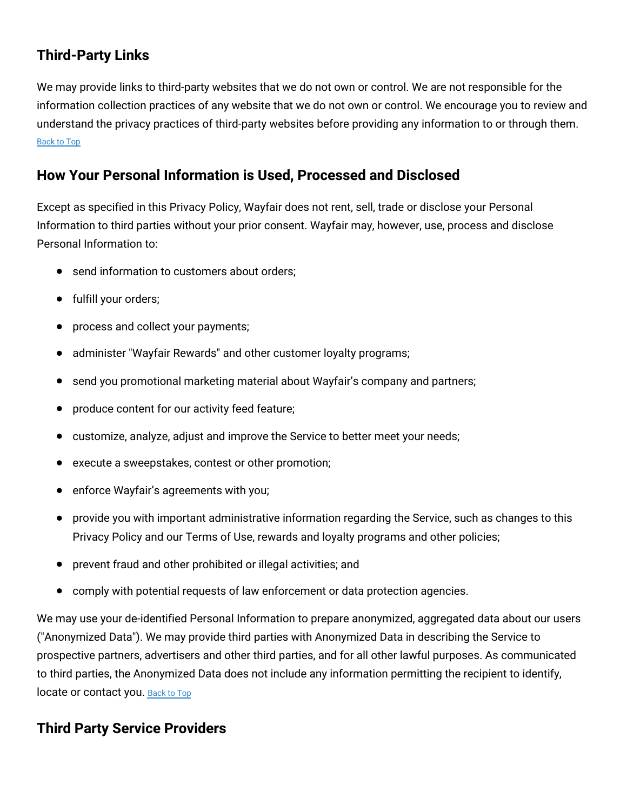## **Third-Party Links**

We may provide links to third-party websites that we do not own or control. We are not responsible for the information collection practices of any website that we do not own or control. We encourage you to review and understand the privacy practices of third-party websites before providing any information to or through them. [Back](#top) to Top

### **How Your Personal Information is Used, Processed and Disclosed**

Except as specified in this Privacy Policy, Wayfair does not rent, sell, trade or disclose your Personal Information to third parties without your prior consent. Wayfair may, however, use, process and disclose Personal Information to:

- send information to customers about orders;  $\bullet$
- fulfill your orders;
- process and collect your payments;
- administer "Wayfair Rewards" and other customer loyalty programs;
- send you promotional marketing material about Wayfair's company and partners;
- produce content for our activity feed feature;
- customize, analyze, adjust and improve the Service to better meet your needs;
- execute a sweepstakes, contest or other promotion;
- enforce Wayfair's agreements with you;
- provide you with important administrative information regarding the Service, such as changes to this Privacy Policy and our Terms of Use, rewards and loyalty programs and other policies;
- prevent fraud and other prohibited or illegal activities; and  $\bullet$
- comply with potential requests of law enforcement or data protection agencies.

We may use your de-identified Personal Information to prepare anonymized, aggregated data about our users ("Anonymized Data"). We may provide third parties with Anonymized Data in describing the Service to prospective partners, advertisers and other third parties, and for all other lawful purposes. As communicated to third parties, the Anonymized Data does not include any information permitting the recipient to identify, locate or contact you. [Back](#top) to Top

### **Third Party Service Providers**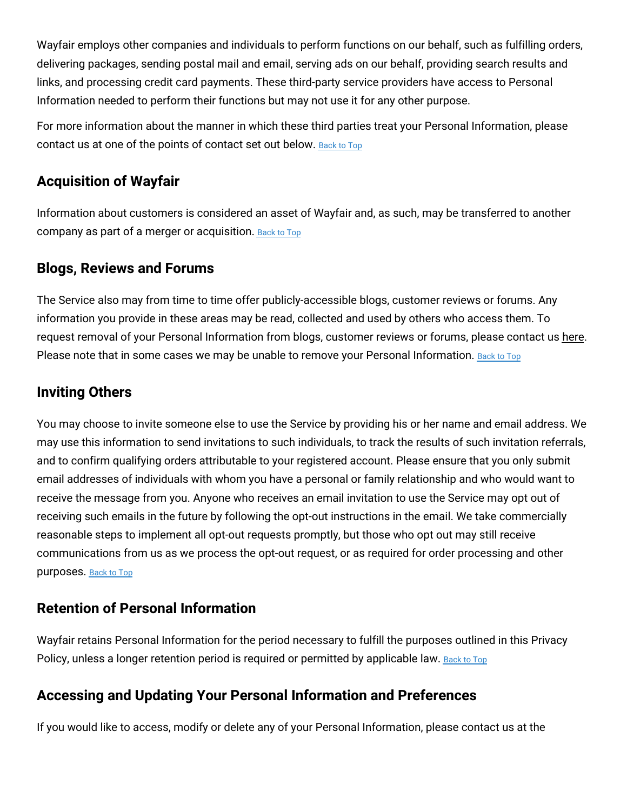Wayfair employs other companies and individuals to perform functions on our behalf, such as fulfilling orders, delivering packages, sending postal mail and email, serving ads on our behalf, providing search results and links, and processing credit card payments. These third-party service providers have access to Personal Information needed to perform their functions but may not use it for any other purpose.

For more information about the manner in which these third parties treat your Personal Information, please contact us at one of the points of contact set out below. [Back](#top) to Top

#### **Acquisition of Wayfair**

Information about customers is considered an asset of Wayfair and, as such, may be transferred to another company as part of a merger or acquisition. [Back](#top) to Top

#### **Blogs, Reviews and Forums**

The Service also may from time to time offer publicly-accessible blogs, customer reviews or forums. Any information you provide in these areas may be read, collected and used by others who access them. To request removal of your Personal Information from blogs, customer reviews or forums, please contact us [here.](https://www.wayfair.ca/contact_us) Please note that in some cases we may be unable to remove your Personal Information. [Back](#top) to Top

### **Inviting Others**

You may choose to invite someone else to use the Service by providing his or her name and email address. We may use this information to send invitations to such individuals, to track the results of such invitation referrals, and to confirm qualifying orders attributable to your registered account. Please ensure that you only submit email addresses of individuals with whom you have a personal or family relationship and who would want to receive the message from you. Anyone who receives an email invitation to use the Service may opt out of receiving such emails in the future by following the opt-out instructions in the email. We take commercially reasonable steps to implement all opt-out requests promptly, but those who opt out may still receive communications from us as we process the opt-out request, or as required for order processing and other purposes. [Back](#top) to Top

#### **Retention of Personal Information**

Wayfair retains Personal Information for the period necessary to fulfill the purposes outlined in this Privacy Policy, unless a longer retention period is required or permitted by applicable law. [Back](#top) to Top

### **Accessing and Updating Your Personal Information and Preferences**

If you would like to access, modify or delete any of your Personal Information, please contact us at the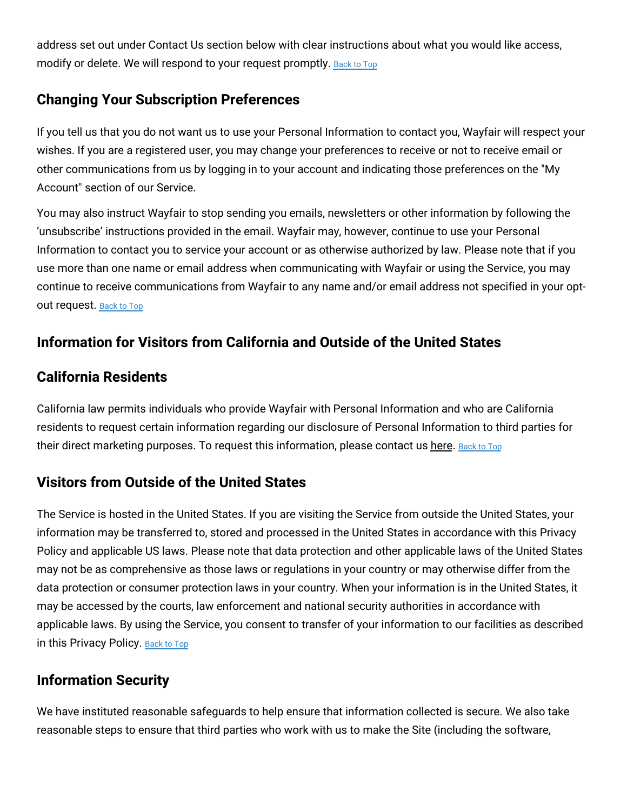address set out under Contact Us section below with clear instructions about what you would like access, modify or delete. We will respond to your request promptly. [Back](#top) to Top

### **Changing Your Subscription Preferences**

If you tell us that you do not want us to use your Personal Information to contact you, Wayfair will respect your wishes. If you are a registered user, you may change your preferences to receive or not to receive email or other communications from us by logging in to your account and indicating those preferences on the "My Account" section of our Service.

You may also instruct Wayfair to stop sending you emails, newsletters or other information by following the 'unsubscribe' instructions provided in the email. Wayfair may, however, continue to use your Personal Information to contact you to service your account or as otherwise authorized by law. Please note that if you use more than one name or email address when communicating with Wayfair or using the Service, you may continue to receive communications from Wayfair to any name and/or email address not specified in your optout request. [Back](#top) to Top

### **Information for Visitors from California and Outside of the United States**

### **California Residents**

California law permits individuals who provide Wayfair with Personal Information and who are California residents to request certain information regarding our disclosure of Personal Information to third parties for their direct marketing purposes. To request this information, please contact us [here.](https://www.wayfair.ca/contact_us) [Back](#top) to Top

### **Visitors from Outside of the United States**

The Service is hosted in the United States. If you are visiting the Service from outside the United States, your information may be transferred to, stored and processed in the United States in accordance with this Privacy Policy and applicable US laws. Please note that data protection and other applicable laws of the United States may not be as comprehensive as those laws or regulations in your country or may otherwise differ from the data protection or consumer protection laws in your country. When your information is in the United States, it may be accessed by the courts, law enforcement and national security authorities in accordance with applicable laws. By using the Service, you consent to transfer of your information to our facilities as described in this Privacy Policy. [Back](#top) to Top

#### **Information Security**

We have instituted reasonable safeguards to help ensure that information collected is secure. We also take reasonable steps to ensure that third parties who work with us to make the Site (including the software,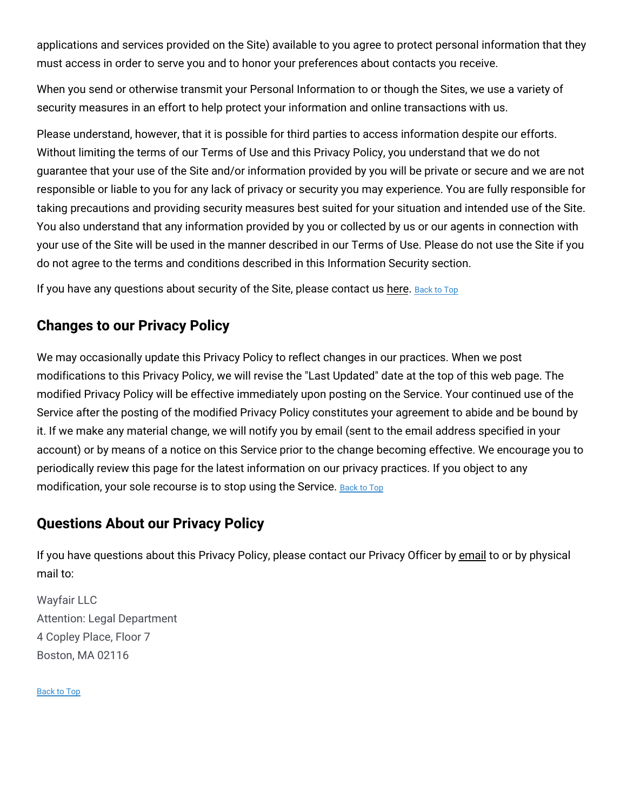applications and services provided on the Site) available to you agree to protect personal information that they must access in order to serve you and to honor your preferences about contacts you receive.

When you send or otherwise transmit your Personal Information to or though the Sites, we use a variety of security measures in an effort to help protect your information and online transactions with us.

Please understand, however, that it is possible for third parties to access information despite our efforts. Without limiting the terms of our Terms of Use and this Privacy Policy, you understand that we do not guarantee that your use of the Site and/or information provided by you will be private or secure and we are not responsible or liable to you for any lack of privacy or security you may experience. You are fully responsible for taking precautions and providing security measures best suited for your situation and intended use of the Site. You also understand that any information provided by you or collected by us or our agents in connection with your use of the Site will be used in the manner described in our Terms of Use. Please do not use the Site if you do not agree to the terms and conditions described in this Information Security section.

If you have any questions about security of the Site, please contact us [here.](https://www.wayfair.ca/contact_us) [Back](#top) to Top

#### **Changes to our Privacy Policy**

We may occasionally update this Privacy Policy to reflect changes in our practices. When we post modifications to this Privacy Policy, we will revise the "Last Updated" date at the top of this web page. The modified Privacy Policy will be effective immediately upon posting on the Service. Your continued use of the Service after the posting of the modified Privacy Policy constitutes your agreement to abide and be bound by it. If we make any material change, we will notify you by email (sent to the email address specified in your account) or by means of a notice on this Service prior to the change becoming effective. We encourage you to periodically review this page for the latest information on our privacy practices. If you object to any modification, your sole recourse is to stop using the Service. [Back](#top) to Top

### **Questions About our Privacy Policy**

If you have questions about this Privacy Policy, please contact our Privacy Officer by [email](mailto:dataprotectionofficer@wayfair.com) to or by physical mail to:

Wayfair LLC Attention: Legal Department 4 Copley Place, Floor 7 Boston, MA 02116

[Back](#top) to Top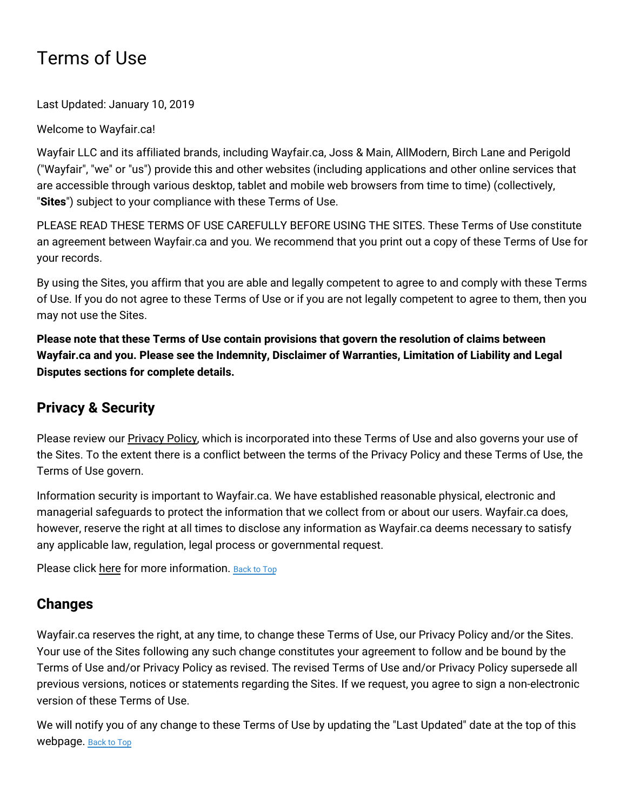# Terms of Use

Last Updated: January 10, 2019

Welcome to Wayfair.ca!

Wayfair LLC and its affiliated brands, including Wayfair.ca, Joss & Main, AllModern, Birch Lane and Perigold ("Wayfair", "we" or "us") provide this and other websites (including applications and other online services that are accessible through various desktop, tablet and mobile web browsers from time to time) (collectively, "**Sites**") subject to your compliance with these Terms of Use.

PLEASE READ THESE TERMS OF USE CAREFULLY BEFORE USING THE SITES. These Terms of Use constitute an agreement between Wayfair.ca and you. We recommend that you print out a copy of these Terms of Use for your records.

By using the Sites, you affirm that you are able and legally competent to agree to and comply with these Terms of Use. If you do not agree to these Terms of Use or if you are not legally competent to agree to them, then you may not use the Sites.

**Please note that these Terms of Use contain provisions that govern the resolution of claims between Wayfair.ca and you. Please see the Indemnity, Disclaimer of Warranties, Limitation of Liability and Legal Disputes sections for complete details.**

# **Privacy & Security**

Please review our **[Privacy](#privacy) Policy**, which is incorporated into these Terms of Use and also governs your use of the Sites. To the extent there is a conflict between the terms of the Privacy Policy and these Terms of Use, the Terms of Use govern.

Information security is important to Wayfair.ca. We have established reasonable physical, electronic and managerial safeguards to protect the information that we collect from or about our users. Wayfair.ca does, however, reserve the right at all times to disclose any information as Wayfair.ca deems necessary to satisfy any applicable law, regulation, legal process or governmental request.

Please click [here](#security) for more information. [Back](#top) to Top

# **Changes**

Wayfair.ca reserves the right, at any time, to change these Terms of Use, our Privacy Policy and/or the Sites. Your use of the Sites following any such change constitutes your agreement to follow and be bound by the Terms of Use and/or Privacy Policy as revised. The revised Terms of Use and/or Privacy Policy supersede all previous versions, notices or statements regarding the Sites. If we request, you agree to sign a non-electronic version of these Terms of Use.

We will notify you of any change to these Terms of Use by updating the "Last Updated" date at the top of this webpage. [Back](#top) to Top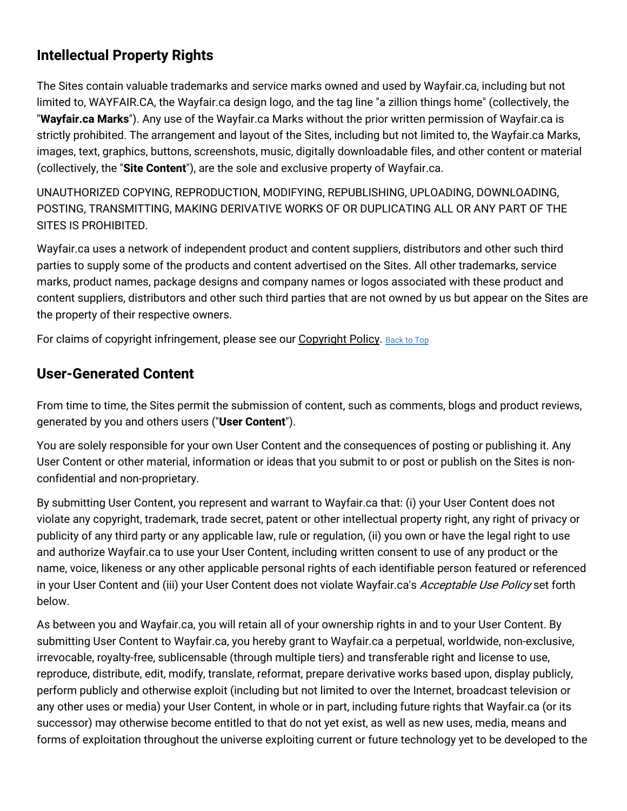# **Intellectual Property Rights**

The Sites contain valuable trademarks and service marks owned and used by Wayfair.ca, including but not limited to, WAYFAIR.CA, the Wayfair.ca design logo, and the tag line "a zillion things home" (collectively, the "**Wayfair.ca Marks**"). Any use of the Wayfair.ca Marks without the prior written permission of Wayfair.ca is strictly prohibited. The arrangement and layout of the Sites, including but not limited to, the Wayfair.ca Marks, images, text, graphics, buttons, screenshots, music, digitally downloadable files, and other content or material (collectively, the "**Site Content**"), are the sole and exclusive property of Wayfair.ca.

UNAUTHORIZED COPYING, REPRODUCTION, MODIFYING, REPUBLISHING, UPLOADING, DOWNLOADING, POSTING, TRANSMITTING, MAKING DERIVATIVE WORKS OF OR DUPLICATING ALL OR ANY PART OF THE SITES IS PROHIBITED.

Wayfair.ca uses a network of independent product and content suppliers, distributors and other such third parties to supply some of the products and content advertised on the Sites. All other trademarks, service marks, product names, package designs and company names or logos associated with these product and content suppliers, distributors and other such third parties that are not owned by us but appear on the Sites are the property of their respective owners.

For claims of copyright infringement, please see our [Copyright](#copyright) Policy. [Back](#top) to Top

#### **User-Generated Content**

From time to time, the Sites permit the submission of content, such as comments, blogs and product reviews, generated by you and others users ("**User Content**").

You are solely responsible for your own User Content and the consequences of posting or publishing it. Any User Content or other material, information or ideas that you submit to or post or publish on the Sites is nonconfidential and non-proprietary.

By submitting User Content, you represent and warrant to Wayfair.ca that: (i) your User Content does not violate any copyright, trademark, trade secret, patent or other intellectual property right, any right of privacy or publicity of any third party or any applicable law, rule or regulation, (ii) you own or have the legal right to use and authorize Wayfair.ca to use your User Content, including written consent to use of any product or the name, voice, likeness or any other applicable personal rights of each identifiable person featured or referenced in your User Content and (iii) your User Content does not violate Wayfair.ca's Acceptable Use Policy set forth below.

As between you and Wayfair.ca, you will retain all of your ownership rights in and to your User Content. By submitting User Content to Wayfair.ca, you hereby grant to Wayfair.ca a perpetual, worldwide, non-exclusive, irrevocable, royalty-free, sublicensable (through multiple tiers) and transferable right and license to use, reproduce, distribute, edit, modify, translate, reformat, prepare derivative works based upon, display publicly, perform publicly and otherwise exploit (including but not limited to over the Internet, broadcast television or any other uses or media) your User Content, in whole or in part, including future rights that Wayfair.ca (or its successor) may otherwise become entitled to that do not yet exist, as well as new uses, media, means and forms of exploitation throughout the universe exploiting current or future technology yet to be developed to the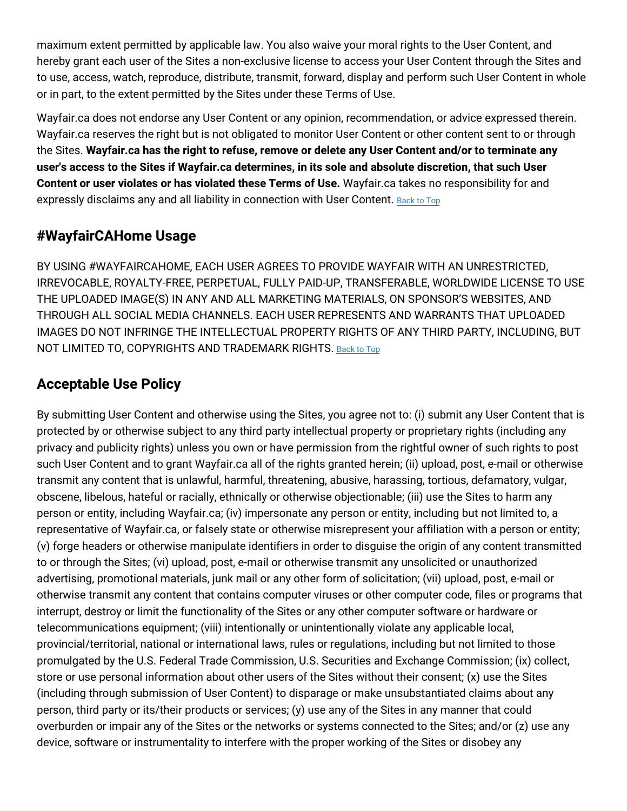maximum extent permitted by applicable law. You also waive your moral rights to the User Content, and hereby grant each user of the Sites a non-exclusive license to access your User Content through the Sites and to use, access, watch, reproduce, distribute, transmit, forward, display and perform such User Content in whole or in part, to the extent permitted by the Sites under these Terms of Use.

Wayfair.ca does not endorse any User Content or any opinion, recommendation, or advice expressed therein. Wayfair.ca reserves the right but is not obligated to monitor User Content or other content sent to or through the Sites. **Wayfair.ca has the right to refuse, remove or delete any User Content and/or to terminate any user's access to the Sites if Wayfair.ca determines, in its sole and absolute discretion, that such User Content or user violates or has violated these Terms of Use.** Wayfair.ca takes no responsibility for and expressly disclaims any and all liability in connection with User Content. [Back](#top) to Top

# **#WayfairCAHome Usage**

BY USING #WAYFAIRCAHOME, EACH USER AGREES TO PROVIDE WAYFAIR WITH AN UNRESTRICTED, IRREVOCABLE, ROYALTY-FREE, PERPETUAL, FULLY PAID-UP, TRANSFERABLE, WORLDWIDE LICENSE TO USE THE UPLOADED IMAGE(S) IN ANY AND ALL MARKETING MATERIALS, ON SPONSOR'S WEBSITES, AND THROUGH ALL SOCIAL MEDIA CHANNELS. EACH USER REPRESENTS AND WARRANTS THAT UPLOADED IMAGES DO NOT INFRINGE THE INTELLECTUAL PROPERTY RIGHTS OF ANY THIRD PARTY, INCLUDING, BUT NOT LIMITED TO, COPYRIGHTS AND TRADEMARK RIGHTS. [Back](#top) to Top

# **Acceptable Use Policy**

By submitting User Content and otherwise using the Sites, you agree not to: (i) submit any User Content that is protected by or otherwise subject to any third party intellectual property or proprietary rights (including any privacy and publicity rights) unless you own or have permission from the rightful owner of such rights to post such User Content and to grant Wayfair.ca all of the rights granted herein; (ii) upload, post, e-mail or otherwise transmit any content that is unlawful, harmful, threatening, abusive, harassing, tortious, defamatory, vulgar, obscene, libelous, hateful or racially, ethnically or otherwise objectionable; (iii) use the Sites to harm any person or entity, including Wayfair.ca; (iv) impersonate any person or entity, including but not limited to, a representative of Wayfair.ca, or falsely state or otherwise misrepresent your affiliation with a person or entity; (v) forge headers or otherwise manipulate identifiers in order to disguise the origin of any content transmitted to or through the Sites; (vi) upload, post, e-mail or otherwise transmit any unsolicited or unauthorized advertising, promotional materials, junk mail or any other form of solicitation; (vii) upload, post, e-mail or otherwise transmit any content that contains computer viruses or other computer code, files or programs that interrupt, destroy or limit the functionality of the Sites or any other computer software or hardware or telecommunications equipment; (viii) intentionally or unintentionally violate any applicable local, provincial/territorial, national or international laws, rules or regulations, including but not limited to those promulgated by the U.S. Federal Trade Commission, U.S. Securities and Exchange Commission; (ix) collect, store or use personal information about other users of the Sites without their consent; (x) use the Sites (including through submission of User Content) to disparage or make unsubstantiated claims about any person, third party or its/their products or services; (y) use any of the Sites in any manner that could overburden or impair any of the Sites or the networks or systems connected to the Sites; and/or (z) use any device, software or instrumentality to interfere with the proper working of the Sites or disobey any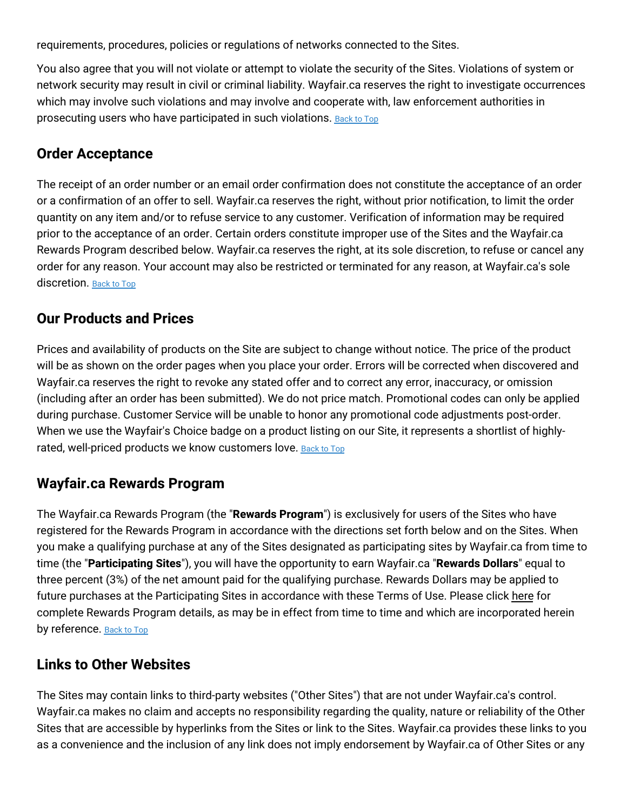requirements, procedures, policies or regulations of networks connected to the Sites.

You also agree that you will not violate or attempt to violate the security of the Sites. Violations of system or network security may result in civil or criminal liability. Wayfair.ca reserves the right to investigate occurrences which may involve such violations and may involve and cooperate with, law enforcement authorities in prosecuting users who have participated in such violations. [Back](#top) to Top

#### **Order Acceptance**

The receipt of an order number or an email order confirmation does not constitute the acceptance of an order or a confirmation of an offer to sell. Wayfair.ca reserves the right, without prior notification, to limit the order quantity on any item and/or to refuse service to any customer. Verification of information may be required prior to the acceptance of an order. Certain orders constitute improper use of the Sites and the Wayfair.ca Rewards Program described below. Wayfair.ca reserves the right, at its sole discretion, to refuse or cancel any order for any reason. Your account may also be restricted or terminated for any reason, at Wayfair.ca's sole discretion. [Back](#top) to Top

#### **Our Products and Prices**

Prices and availability of products on the Site are subject to change without notice. The price of the product will be as shown on the order pages when you place your order. Errors will be corrected when discovered and Wayfair.ca reserves the right to revoke any stated offer and to correct any error, inaccuracy, or omission (including after an order has been submitted). We do not price match. Promotional codes can only be applied during purchase. Customer Service will be unable to honor any promotional code adjustments post-order. When we use the Wayfair's Choice badge on a product listing on our Site, it represents a shortlist of highly-rated, well-priced products we know customers love. [Back](#top) to Top

### **Wayfair.ca Rewards Program**

The Wayfair.ca Rewards Program (the "**Rewards Program**") is exclusively for users of the Sites who have registered for the Rewards Program in accordance with the directions set forth below and on the Sites. When you make a qualifying purchase at any of the Sites designated as participating sites by Wayfair.ca from time to time (the "**Participating Sites**"), you will have the opportunity to earn Wayfair.ca "**Rewards Dollars**" equal to three percent (3%) of the net amount paid for the qualifying purchase. Rewards Dollars may be applied to future purchases at the Participating Sites in accordance with these Terms of Use. Please click [here](#rewards) for complete Rewards Program details, as may be in effect from time to time and which are incorporated herein by reference. [Back](#top) to Top

### **Links to Other Websites**

The Sites may contain links to third-party websites ("Other Sites") that are not under Wayfair.ca's control. Wayfair.ca makes no claim and accepts no responsibility regarding the quality, nature or reliability of the Other Sites that are accessible by hyperlinks from the Sites or link to the Sites. Wayfair.ca provides these links to you as a convenience and the inclusion of any link does not imply endorsement by Wayfair.ca of Other Sites or any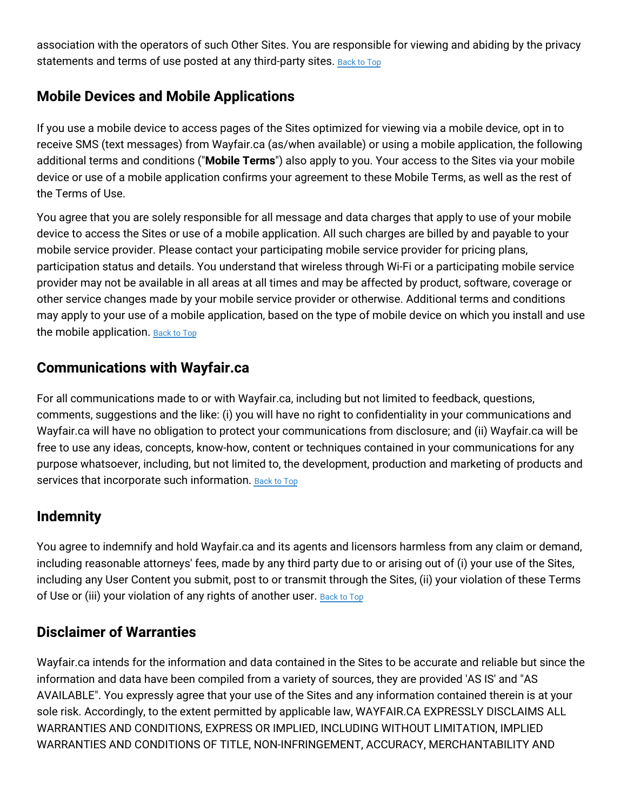association with the operators of such Other Sites. You are responsible for viewing and abiding by the privacy statements and terms of use posted at any third-party sites. [Back](#top) to Top

#### **Mobile Devices and Mobile Applications**

If you use a mobile device to access pages of the Sites optimized for viewing via a mobile device, opt in to receive SMS (text messages) from Wayfair.ca (as/when available) or using a mobile application, the following additional terms and conditions ("**Mobile Terms**") also apply to you. Your access to the Sites via your mobile device or use of a mobile application confirms your agreement to these Mobile Terms, as well as the rest of the Terms of Use.

You agree that you are solely responsible for all message and data charges that apply to use of your mobile device to access the Sites or use of a mobile application. All such charges are billed by and payable to your mobile service provider. Please contact your participating mobile service provider for pricing plans, participation status and details. You understand that wireless through Wi-Fi or a participating mobile service provider may not be available in all areas at all times and may be affected by product, software, coverage or other service changes made by your mobile service provider or otherwise. Additional terms and conditions may apply to your use of a mobile application, based on the type of mobile device on which you install and use the mobile application. [Back](#top) to Top

#### **Communications with Wayfair.ca**

For all communications made to or with Wayfair.ca, including but not limited to feedback, questions, comments, suggestions and the like: (i) you will have no right to confidentiality in your communications and Wayfair.ca will have no obligation to protect your communications from disclosure; and (ii) Wayfair.ca will be free to use any ideas, concepts, know-how, content or techniques contained in your communications for any purpose whatsoever, including, but not limited to, the development, production and marketing of products and services that incorporate such information. [Back](#top) to Top

### **Indemnity**

You agree to indemnify and hold Wayfair.ca and its agents and licensors harmless from any claim or demand, including reasonable attorneys' fees, made by any third party due to or arising out of (i) your use of the Sites, including any User Content you submit, post to or transmit through the Sites, (ii) your violation of these Terms of Use or (iii) your violation of any rights of another user. **[Back](#top) to Top** 

#### **Disclaimer of Warranties**

Wayfair.ca intends for the information and data contained in the Sites to be accurate and reliable but since the information and data have been compiled from a variety of sources, they are provided 'AS IS' and "AS AVAILABLE". You expressly agree that your use of the Sites and any information contained therein is at your sole risk. Accordingly, to the extent permitted by applicable law, WAYFAIR.CA EXPRESSLY DISCLAIMS ALL WARRANTIES AND CONDITIONS, EXPRESS OR IMPLIED, INCLUDING WITHOUT LIMITATION, IMPLIED WARRANTIES AND CONDITIONS OF TITLE, NON-INFRINGEMENT, ACCURACY, MERCHANTABILITY AND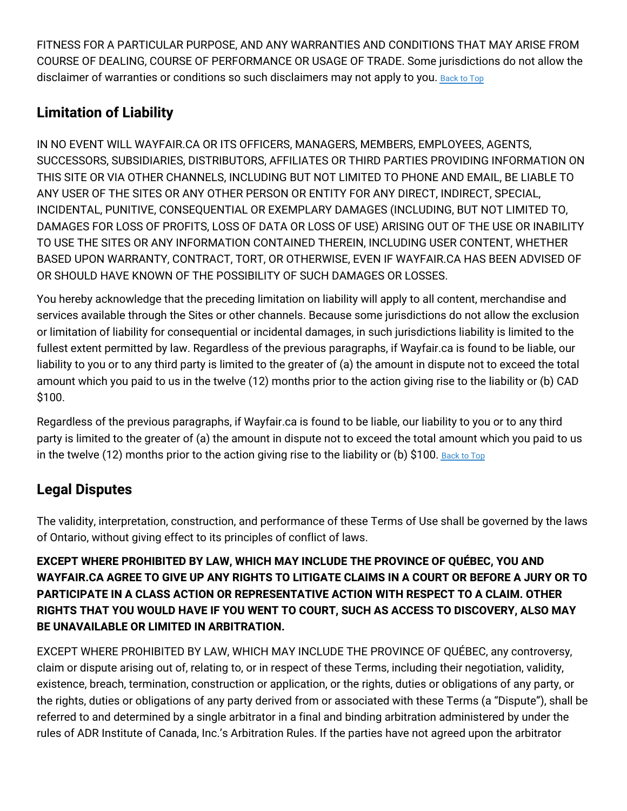FITNESS FOR A PARTICULAR PURPOSE, AND ANY WARRANTIES AND CONDITIONS THAT MAY ARISE FROM COURSE OF DEALING, COURSE OF PERFORMANCE OR USAGE OF TRADE. Some jurisdictions do not allow the disclaimer of warranties or conditions so such disclaimers may not apply to you. [Back](#top) to Top

# **Limitation of Liability**

IN NO EVENT WILL WAYFAIR.CA OR ITS OFFICERS, MANAGERS, MEMBERS, EMPLOYEES, AGENTS, SUCCESSORS, SUBSIDIARIES, DISTRIBUTORS, AFFILIATES OR THIRD PARTIES PROVIDING INFORMATION ON THIS SITE OR VIA OTHER CHANNELS, INCLUDING BUT NOT LIMITED TO PHONE AND EMAIL, BE LIABLE TO ANY USER OF THE SITES OR ANY OTHER PERSON OR ENTITY FOR ANY DIRECT, INDIRECT, SPECIAL, INCIDENTAL, PUNITIVE, CONSEQUENTIAL OR EXEMPLARY DAMAGES (INCLUDING, BUT NOT LIMITED TO, DAMAGES FOR LOSS OF PROFITS, LOSS OF DATA OR LOSS OF USE) ARISING OUT OF THE USE OR INABILITY TO USE THE SITES OR ANY INFORMATION CONTAINED THEREIN, INCLUDING USER CONTENT, WHETHER BASED UPON WARRANTY, CONTRACT, TORT, OR OTHERWISE, EVEN IF WAYFAIR.CA HAS BEEN ADVISED OF OR SHOULD HAVE KNOWN OF THE POSSIBILITY OF SUCH DAMAGES OR LOSSES.

You hereby acknowledge that the preceding limitation on liability will apply to all content, merchandise and services available through the Sites or other channels. Because some jurisdictions do not allow the exclusion or limitation of liability for consequential or incidental damages, in such jurisdictions liability is limited to the fullest extent permitted by law. Regardless of the previous paragraphs, if Wayfair.ca is found to be liable, our liability to you or to any third party is limited to the greater of (a) the amount in dispute not to exceed the total amount which you paid to us in the twelve (12) months prior to the action giving rise to the liability or (b) CAD \$100.

Regardless of the previous paragraphs, if Wayfair.ca is found to be liable, our liability to you or to any third party is limited to the greater of (a) the amount in dispute not to exceed the total amount which you paid to us in the twelve (12) months prior to the action giving rise to the liability or (b) \$100. [Back](#top) to Top

# **Legal Disputes**

The validity, interpretation, construction, and performance of these Terms of Use shall be governed by the laws of Ontario, without giving effect to its principles of conflict of laws.

**EXCEPT WHERE PROHIBITED BY LAW, WHICH MAY INCLUDE THE PROVINCE OF QUÉBEC, YOU AND WAYFAIR.CA AGREE TO GIVE UP ANY RIGHTS TO LITIGATE CLAIMS IN A COURT OR BEFORE A JURY OR TO PARTICIPATE IN A CLASS ACTION OR REPRESENTATIVE ACTION WITH RESPECT TO A CLAIM. OTHER RIGHTS THAT YOU WOULD HAVE IF YOU WENT TO COURT, SUCH AS ACCESS TO DISCOVERY, ALSO MAY BE UNAVAILABLE OR LIMITED IN ARBITRATION.**

EXCEPT WHERE PROHIBITED BY LAW, WHICH MAY INCLUDE THE PROVINCE OF QUÉBEC, any controversy, claim or dispute arising out of, relating to, or in respect of these Terms, including their negotiation, validity, existence, breach, termination, construction or application, or the rights, duties or obligations of any party, or the rights, duties or obligations of any party derived from or associated with these Terms (a "Dispute"), shall be referred to and determined by a single arbitrator in a final and binding arbitration administered by under the rules of ADR Institute of Canada, Inc.'s Arbitration Rules. If the parties have not agreed upon the arbitrator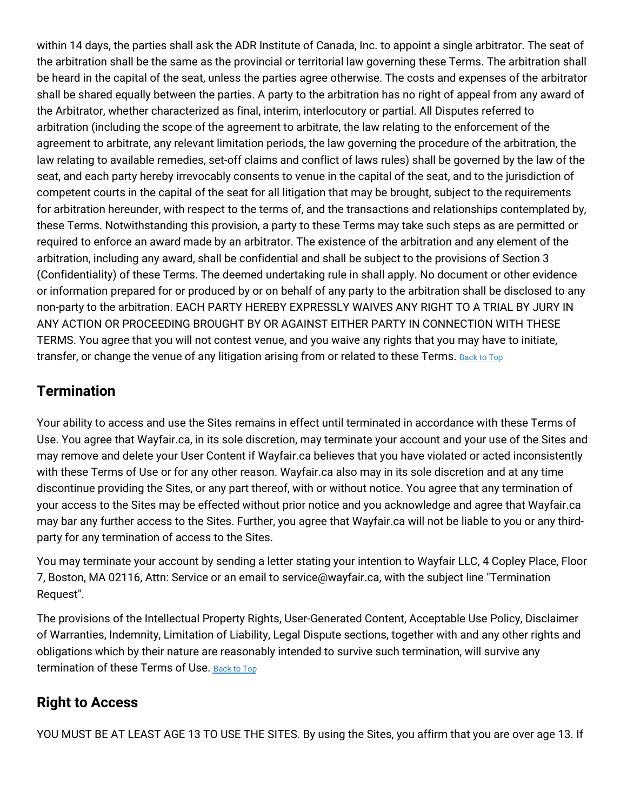within 14 days, the parties shall ask the ADR Institute of Canada, Inc. to appoint a single arbitrator. The seat of the arbitration shall be the same as the provincial or territorial law governing these Terms. The arbitration shall be heard in the capital of the seat, unless the parties agree otherwise. The costs and expenses of the arbitrator shall be shared equally between the parties. A party to the arbitration has no right of appeal from any award of the Arbitrator, whether characterized as final, interim, interlocutory or partial. All Disputes referred to arbitration (including the scope of the agreement to arbitrate, the law relating to the enforcement of the agreement to arbitrate, any relevant limitation periods, the law governing the procedure of the arbitration, the law relating to available remedies, set-off claims and conflict of laws rules) shall be governed by the law of the seat, and each party hereby irrevocably consents to venue in the capital of the seat, and to the jurisdiction of competent courts in the capital of the seat for all litigation that may be brought, subject to the requirements for arbitration hereunder, with respect to the terms of, and the transactions and relationships contemplated by, these Terms. Notwithstanding this provision, a party to these Terms may take such steps as are permitted or required to enforce an award made by an arbitrator. The existence of the arbitration and any element of the arbitration, including any award, shall be confidential and shall be subject to the provisions of Section 3 (Confidentiality) of these Terms. The deemed undertaking rule in shall apply. No document or other evidence or information prepared for or produced by or on behalf of any party to the arbitration shall be disclosed to any non-party to the arbitration. EACH PARTY HEREBY EXPRESSLY WAIVES ANY RIGHT TO A TRIAL BY JURY IN ANY ACTION OR PROCEEDING BROUGHT BY OR AGAINST EITHER PARTY IN CONNECTION WITH THESE TERMS. You agree that you will not contest venue, and you waive any rights that you may have to initiate, transfer, or change the venue of any litigation arising from or related to these Terms. [Back](#top) to Top

### **Termination**

Your ability to access and use the Sites remains in effect until terminated in accordance with these Terms of Use. You agree that Wayfair.ca, in its sole discretion, may terminate your account and your use of the Sites and may remove and delete your User Content if Wayfair.ca believes that you have violated or acted inconsistently with these Terms of Use or for any other reason. Wayfair.ca also may in its sole discretion and at any time discontinue providing the Sites, or any part thereof, with or without notice. You agree that any termination of your access to the Sites may be effected without prior notice and you acknowledge and agree that Wayfair.ca may bar any further access to the Sites. Further, you agree that Wayfair.ca will not be liable to you or any thirdparty for any termination of access to the Sites.

You may terminate your account by sending a letter stating your intention to Wayfair LLC, 4 Copley Place, Floor 7, Boston, MA 02116, Attn: Service or an email to service@wayfair.ca, with the subject line "Termination Request".

The provisions of the Intellectual Property Rights, User-Generated Content, Acceptable Use Policy, Disclaimer of Warranties, Indemnity, Limitation of Liability, Legal Dispute sections, together with and any other rights and obligations which by their nature are reasonably intended to survive such termination, will survive any termination of these Terms of Use. [Back](#top) to Top

# **Right to Access**

YOU MUST BE AT LEAST AGE 13 TO USE THE SITES. By using the Sites, you affirm that you are over age 13. If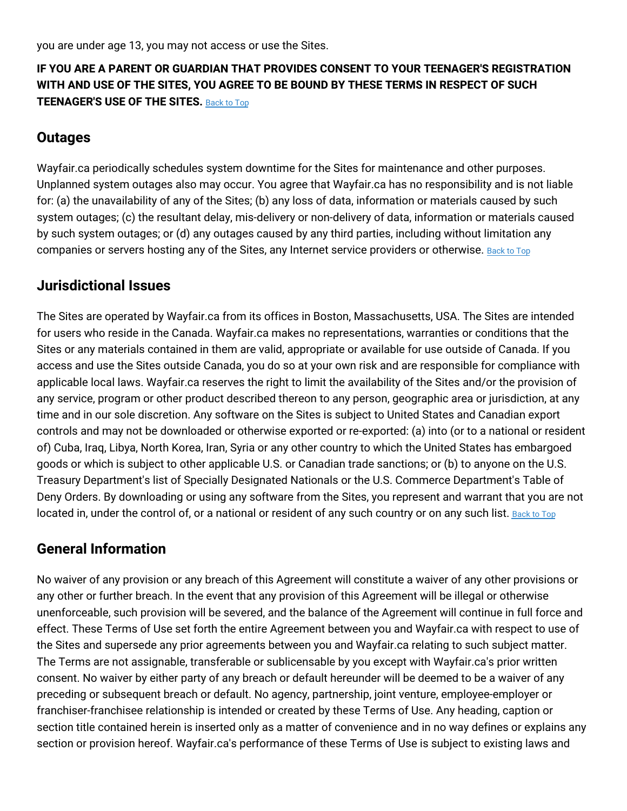you are under age 13, you may not access or use the Sites.

#### **IF YOU ARE A PARENT OR GUARDIAN THAT PROVIDES CONSENT TO YOUR TEENAGER'S REGISTRATION WITH AND USE OF THE SITES, YOU AGREE TO BE BOUND BY THESE TERMS IN RESPECT OF SUCH TEENAGER'S USE OF THE SITES.** [Back](#top) to Top

#### **Outages**

Wayfair.ca periodically schedules system downtime for the Sites for maintenance and other purposes. Unplanned system outages also may occur. You agree that Wayfair.ca has no responsibility and is not liable for: (a) the unavailability of any of the Sites; (b) any loss of data, information or materials caused by such system outages; (c) the resultant delay, mis-delivery or non-delivery of data, information or materials caused by such system outages; or (d) any outages caused by any third parties, including without limitation any companies or servers hosting any of the Sites, any Internet service providers or otherwise. [Back](#top) to Top

#### **Jurisdictional Issues**

The Sites are operated by Wayfair.ca from its offices in Boston, Massachusetts, USA. The Sites are intended for users who reside in the Canada. Wayfair.ca makes no representations, warranties or conditions that the Sites or any materials contained in them are valid, appropriate or available for use outside of Canada. If you access and use the Sites outside Canada, you do so at your own risk and are responsible for compliance with applicable local laws. Wayfair.ca reserves the right to limit the availability of the Sites and/or the provision of any service, program or other product described thereon to any person, geographic area or jurisdiction, at any time and in our sole discretion. Any software on the Sites is subject to United States and Canadian export controls and may not be downloaded or otherwise exported or re-exported: (a) into (or to a national or resident of) Cuba, Iraq, Libya, North Korea, Iran, Syria or any other country to which the United States has embargoed goods or which is subject to other applicable U.S. or Canadian trade sanctions; or (b) to anyone on the U.S. Treasury Department's list of Specially Designated Nationals or the U.S. Commerce Department's Table of Deny Orders. By downloading or using any software from the Sites, you represent and warrant that you are not located in, under the control of, or a national or resident of any such country or on any such list. [Back](#top) to Top

#### **General Information**

No waiver of any provision or any breach of this Agreement will constitute a waiver of any other provisions or any other or further breach. In the event that any provision of this Agreement will be illegal or otherwise unenforceable, such provision will be severed, and the balance of the Agreement will continue in full force and effect. These Terms of Use set forth the entire Agreement between you and Wayfair.ca with respect to use of the Sites and supersede any prior agreements between you and Wayfair.ca relating to such subject matter. The Terms are not assignable, transferable or sublicensable by you except with Wayfair.ca's prior written consent. No waiver by either party of any breach or default hereunder will be deemed to be a waiver of any preceding or subsequent breach or default. No agency, partnership, joint venture, employee-employer or franchiser-franchisee relationship is intended or created by these Terms of Use. Any heading, caption or section title contained herein is inserted only as a matter of convenience and in no way defines or explains any section or provision hereof. Wayfair.ca's performance of these Terms of Use is subject to existing laws and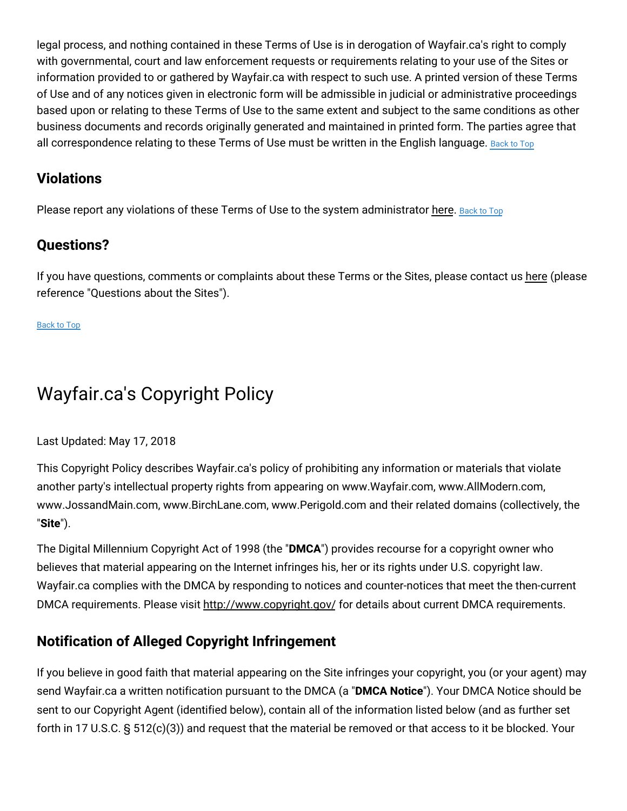legal process, and nothing contained in these Terms of Use is in derogation of Wayfair.ca's right to comply with governmental, court and law enforcement requests or requirements relating to your use of the Sites or information provided to or gathered by Wayfair.ca with respect to such use. A printed version of these Terms of Use and of any notices given in electronic form will be admissible in judicial or administrative proceedings based upon or relating to these Terms of Use to the same extent and subject to the same conditions as other business documents and records originally generated and maintained in printed form. The parties agree that all correspondence relating to these Terms of Use must be written in the English language. [Back](#top) to Top

### **Violations**

Please report any violations of these Terms of Use to the system administrator [here.](https://www.wayfair.ca/contact_us) [Back](#top) to Top

### **Questions?**

If you have questions, comments or complaints about these Terms or the Sites, please contact us [here](https://www.wayfair.ca/contact_us) (please reference "Questions about the Sites").

[Back](#top) to Top

# Wayfair.ca's Copyright Policy

Last Updated: May 17, 2018

This Copyright Policy describes Wayfair.ca's policy of prohibiting any information or materials that violate another party's intellectual property rights from appearing on www.Wayfair.com, www.AllModern.com, www.JossandMain.com, www.BirchLane.com, www.Perigold.com and their related domains (collectively, the "**Site**").

The Digital Millennium Copyright Act of 1998 (the "**DMCA**") provides recourse for a copyright owner who believes that material appearing on the Internet infringes his, her or its rights under U.S. copyright law. Wayfair.ca complies with the DMCA by responding to notices and counter-notices that meet the then-current DMCA requirements. Please visit <http://www.copyright.gov/> for details about current DMCA requirements.

# **Notification of Alleged Copyright Infringement**

If you believe in good faith that material appearing on the Site infringes your copyright, you (or your agent) may send Wayfair.ca a written notification pursuant to the DMCA (a "**DMCA Notice**"). Your DMCA Notice should be sent to our Copyright Agent (identified below), contain all of the information listed below (and as further set forth in 17 U.S.C. § 512(c)(3)) and request that the material be removed or that access to it be blocked. Your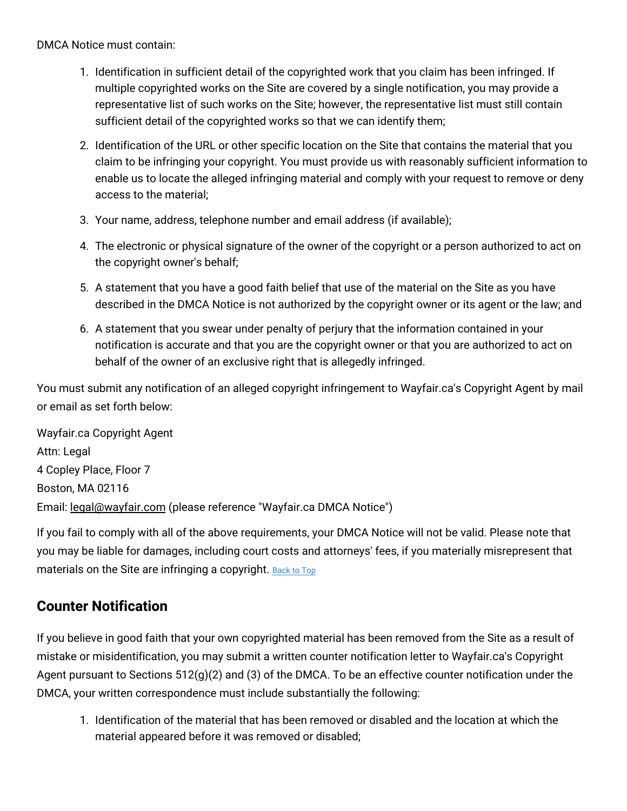DMCA Notice must contain:

- 1. Identification in sufficient detail of the copyrighted work that you claim has been infringed. If multiple copyrighted works on the Site are covered by a single notification, you may provide a representative list of such works on the Site; however, the representative list must still contain sufficient detail of the copyrighted works so that we can identify them;
- 2. Identification of the URL or other specific location on the Site that contains the material that you claim to be infringing your copyright. You must provide us with reasonably sufficient information to enable us to locate the alleged infringing material and comply with your request to remove or deny access to the material;
- 3. Your name, address, telephone number and email address (if available);
- 4. The electronic or physical signature of the owner of the copyright or a person authorized to act on the copyright owner's behalf;
- 5. A statement that you have a good faith belief that use of the material on the Site as you have described in the DMCA Notice is not authorized by the copyright owner or its agent or the law; and
- 6. A statement that you swear under penalty of perjury that the information contained in your notification is accurate and that you are the copyright owner or that you are authorized to act on behalf of the owner of an exclusive right that is allegedly infringed.

You must submit any notification of an alleged copyright infringement to Wayfair.ca's Copyright Agent by mail or email as set forth below:

Wayfair.ca Copyright Agent Attn: Legal 4 Copley Place, Floor 7 Boston, MA 02116 Email: [legal@wayfair.com](mailto:legal@wayfair.com) (please reference "Wayfair.ca DMCA Notice")

If you fail to comply with all of the above requirements, your DMCA Notice will not be valid. Please note that you may be liable for damages, including court costs and attorneys' fees, if you materially misrepresent that materials on the Site are infringing a copyright. [Back](#top) to Top

### **Counter Notification**

If you believe in good faith that your own copyrighted material has been removed from the Site as a result of mistake or misidentification, you may submit a written counter notification letter to Wayfair.ca's Copyright Agent pursuant to Sections 512(g)(2) and (3) of the DMCA. To be an effective counter notification under the DMCA, your written correspondence must include substantially the following:

1. Identification of the material that has been removed or disabled and the location at which the material appeared before it was removed or disabled;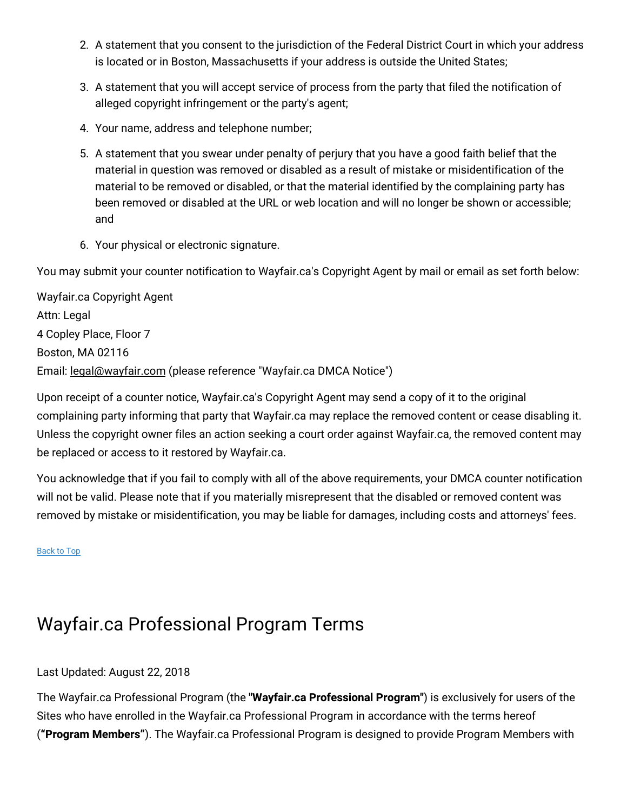- 2. A statement that you consent to the jurisdiction of the Federal District Court in which your address is located or in Boston, Massachusetts if your address is outside the United States;
- 3. A statement that you will accept service of process from the party that filed the notification of alleged copyright infringement or the party's agent;
- 4. Your name, address and telephone number;
- 5. A statement that you swear under penalty of perjury that you have a good faith belief that the material in question was removed or disabled as a result of mistake or misidentification of the material to be removed or disabled, or that the material identified by the complaining party has been removed or disabled at the URL or web location and will no longer be shown or accessible; and
- 6. Your physical or electronic signature.

You may submit your counter notification to Wayfair.ca's Copyright Agent by mail or email as set forth below:

Wayfair.ca Copyright Agent Attn: Legal 4 Copley Place, Floor 7 Boston, MA 02116 Email: [legal@wayfair.com](mailto:legal@wayfair.com) (please reference "Wayfair.ca DMCA Notice")

Upon receipt of a counter notice, Wayfair.ca's Copyright Agent may send a copy of it to the original complaining party informing that party that Wayfair.ca may replace the removed content or cease disabling it. Unless the copyright owner files an action seeking a court order against Wayfair.ca, the removed content may be replaced or access to it restored by Wayfair.ca.

You acknowledge that if you fail to comply with all of the above requirements, your DMCA counter notification will not be valid. Please note that if you materially misrepresent that the disabled or removed content was removed by mistake or misidentification, you may be liable for damages, including costs and attorneys' fees.

[Back](#top) to Top

# Wayfair.ca Professional Program Terms

#### Last Updated: August 22, 2018

The Wayfair.ca Professional Program (the **"Wayfair.ca Professional Program"**) is exclusively for users of the Sites who have enrolled in the Wayfair.ca Professional Program in accordance with the terms hereof (**"Program Members"**). The Wayfair.ca Professional Program is designed to provide Program Members with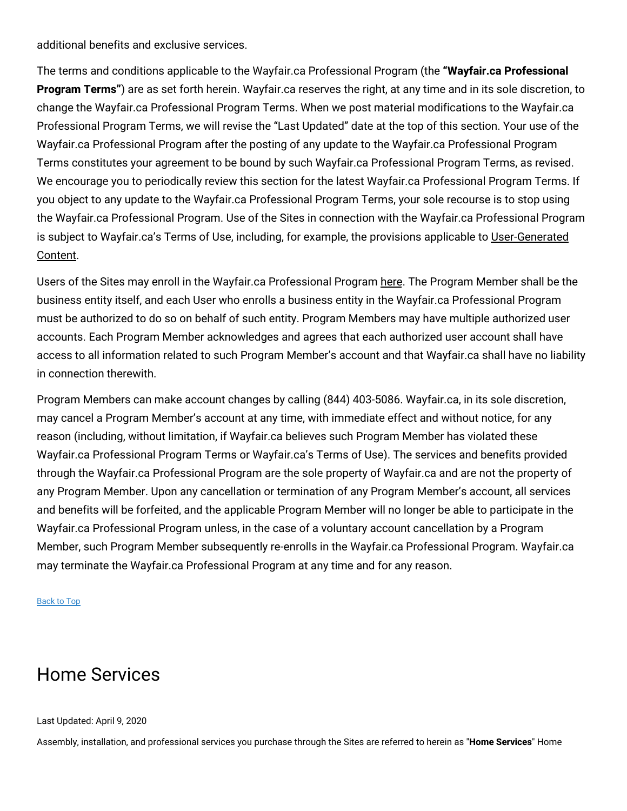additional benefits and exclusive services.

The terms and conditions applicable to the Wayfair.ca Professional Program (the **"Wayfair.ca Professional Program Terms"**) are as set forth herein. Wayfair.ca reserves the right, at any time and in its sole discretion, to change the Wayfair.ca Professional Program Terms. When we post material modifications to the Wayfair.ca Professional Program Terms, we will revise the "Last Updated" date at the top of this section. Your use of the Wayfair.ca Professional Program after the posting of any update to the Wayfair.ca Professional Program Terms constitutes your agreement to be bound by such Wayfair.ca Professional Program Terms, as revised. We encourage you to periodically review this section for the latest Wayfair.ca Professional Program Terms. If you object to any update to the Wayfair.ca Professional Program Terms, your sole recourse is to stop using the Wayfair.ca Professional Program. Use of the Sites in connection with the Wayfair.ca Professional Program is subject to Wayfair.ca's Terms of Use, including, for example, the provisions applicable to [User-Generated](#usercontent) Content.

Users of the Sites may enroll in the Wayfair.ca Professional Program [here.](https://www.wayfair.ca/v/business_account/application/pico?) The Program Member shall be the business entity itself, and each User who enrolls a business entity in the Wayfair.ca Professional Program must be authorized to do so on behalf of such entity. Program Members may have multiple authorized user accounts. Each Program Member acknowledges and agrees that each authorized user account shall have access to all information related to such Program Member's account and that Wayfair.ca shall have no liability in connection therewith.

Program Members can make account changes by calling (844) 403-5086. Wayfair.ca, in its sole discretion, may cancel a Program Member's account at any time, with immediate effect and without notice, for any reason (including, without limitation, if Wayfair.ca believes such Program Member has violated these Wayfair.ca Professional Program Terms or Wayfair.ca's Terms of Use). The services and benefits provided through the Wayfair.ca Professional Program are the sole property of Wayfair.ca and are not the property of any Program Member. Upon any cancellation or termination of any Program Member's account, all services and benefits will be forfeited, and the applicable Program Member will no longer be able to participate in the Wayfair.ca Professional Program unless, in the case of a voluntary account cancellation by a Program Member, such Program Member subsequently re-enrolls in the Wayfair.ca Professional Program. Wayfair.ca may terminate the Wayfair.ca Professional Program at any time and for any reason.

[Back](#top) to Top

# Home Services

#### Last Updated: April 9, 2020

Assembly, installation, and professional services you purchase through the Sites are referred to herein as "**Home Services**" Home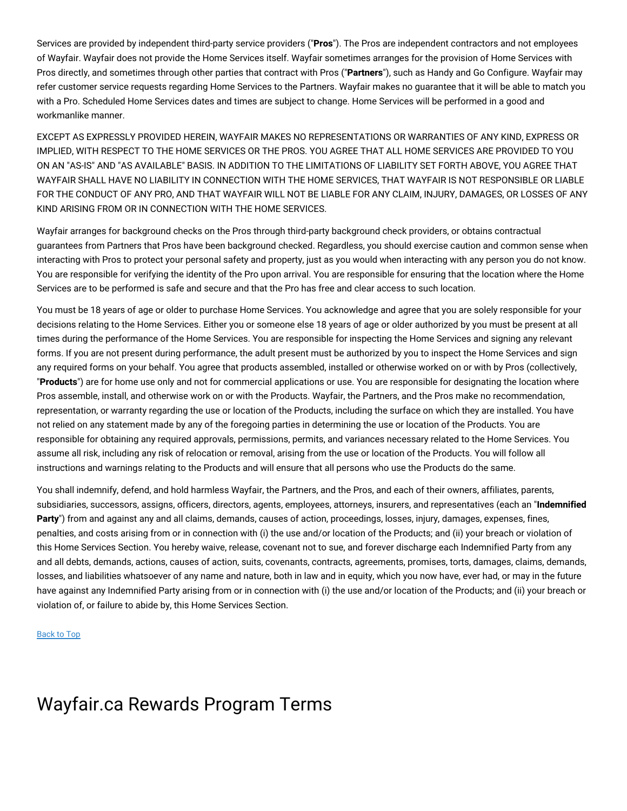Services are provided by independent third-party service providers ("**Pros**"). The Pros are independent contractors and not employees of Wayfair. Wayfair does not provide the Home Services itself. Wayfair sometimes arranges for the provision of Home Services with Pros directly, and sometimes through other parties that contract with Pros ("**Partners**"), such as Handy and Go Configure. Wayfair may refer customer service requests regarding Home Services to the Partners. Wayfair makes no guarantee that it will be able to match you with a Pro. Scheduled Home Services dates and times are subject to change. Home Services will be performed in a good and workmanlike manner.

EXCEPT AS EXPRESSLY PROVIDED HEREIN, WAYFAIR MAKES NO REPRESENTATIONS OR WARRANTIES OF ANY KIND, EXPRESS OR IMPLIED, WITH RESPECT TO THE HOME SERVICES OR THE PROS. YOU AGREE THAT ALL HOME SERVICES ARE PROVIDED TO YOU ON AN "AS-IS" AND "AS AVAILABLE" BASIS. IN ADDITION TO THE LIMITATIONS OF LIABILITY SET FORTH ABOVE, YOU AGREE THAT WAYFAIR SHALL HAVE NO LIABILITY IN CONNECTION WITH THE HOME SERVICES, THAT WAYFAIR IS NOT RESPONSIBLE OR LIABLE FOR THE CONDUCT OF ANY PRO, AND THAT WAYFAIR WILL NOT BE LIABLE FOR ANY CLAIM, INJURY, DAMAGES, OR LOSSES OF ANY KIND ARISING FROM OR IN CONNECTION WITH THE HOME SERVICES.

Wayfair arranges for background checks on the Pros through third-party background check providers, or obtains contractual guarantees from Partners that Pros have been background checked. Regardless, you should exercise caution and common sense when interacting with Pros to protect your personal safety and property, just as you would when interacting with any person you do not know. You are responsible for verifying the identity of the Pro upon arrival. You are responsible for ensuring that the location where the Home Services are to be performed is safe and secure and that the Pro has free and clear access to such location.

You must be 18 years of age or older to purchase Home Services. You acknowledge and agree that you are solely responsible for your decisions relating to the Home Services. Either you or someone else 18 years of age or older authorized by you must be present at all times during the performance of the Home Services. You are responsible for inspecting the Home Services and signing any relevant forms. If you are not present during performance, the adult present must be authorized by you to inspect the Home Services and sign any required forms on your behalf. You agree that products assembled, installed or otherwise worked on or with by Pros (collectively, "**Products**") are for home use only and not for commercial applications or use. You are responsible for designating the location where Pros assemble, install, and otherwise work on or with the Products. Wayfair, the Partners, and the Pros make no recommendation, representation, or warranty regarding the use or location of the Products, including the surface on which they are installed. You have not relied on any statement made by any of the foregoing parties in determining the use or location of the Products. You are responsible for obtaining any required approvals, permissions, permits, and variances necessary related to the Home Services. You assume all risk, including any risk of relocation or removal, arising from the use or location of the Products. You will follow all instructions and warnings relating to the Products and will ensure that all persons who use the Products do the same.

You shall indemnify, defend, and hold harmless Wayfair, the Partners, and the Pros, and each of their owners, affiliates, parents, subsidiaries, successors, assigns, officers, directors, agents, employees, attorneys, insurers, and representatives (each an "**Indemnified Party**") from and against any and all claims, demands, causes of action, proceedings, losses, injury, damages, expenses, fines, penalties, and costs arising from or in connection with (i) the use and/or location of the Products; and (ii) your breach or violation of this Home Services Section. You hereby waive, release, covenant not to sue, and forever discharge each Indemnified Party from any and all debts, demands, actions, causes of action, suits, covenants, contracts, agreements, promises, torts, damages, claims, demands, losses, and liabilities whatsoever of any name and nature, both in law and in equity, which you now have, ever had, or may in the future have against any Indemnified Party arising from or in connection with (i) the use and/or location of the Products; and (ii) your breach or violation of, or failure to abide by, this Home Services Section.

#### [Back](#top) to Top

# Wayfair.ca Rewards Program Terms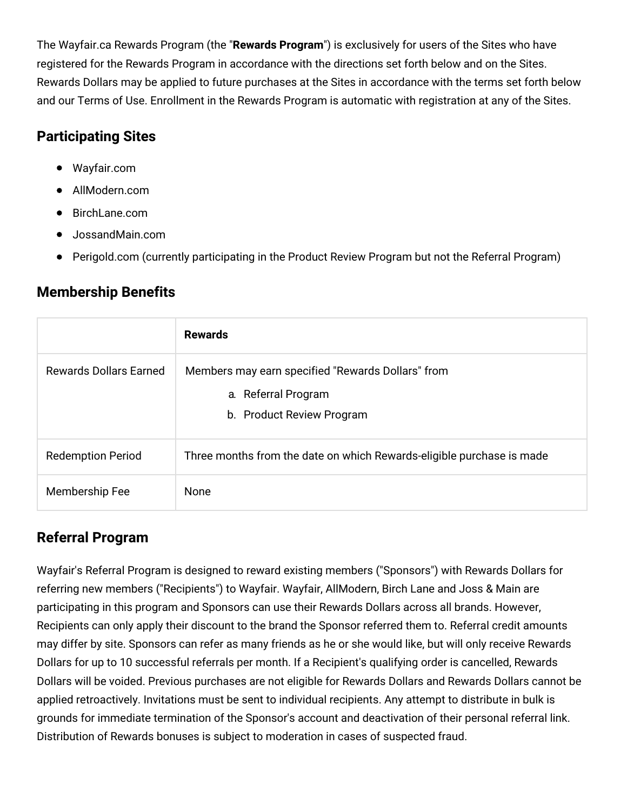The Wayfair.ca Rewards Program (the "**Rewards Program**") is exclusively for users of the Sites who have registered for the Rewards Program in accordance with the directions set forth below and on the Sites. Rewards Dollars may be applied to future purchases at the Sites in accordance with the terms set forth below and our Terms of Use. Enrollment in the Rewards Program is automatic with registration at any of the Sites.

# **Participating Sites**

- Wayfair.com
- AllModern.com
- BirchLane.com
- JossandMain.com
- Perigold.com (currently participating in the Product Review Program but not the Referral Program)

# **Membership Benefits**

|                               | <b>Rewards</b>                                                                                        |
|-------------------------------|-------------------------------------------------------------------------------------------------------|
| <b>Rewards Dollars Earned</b> | Members may earn specified "Rewards Dollars" from<br>a. Referral Program<br>b. Product Review Program |
| <b>Redemption Period</b>      | Three months from the date on which Rewards-eligible purchase is made                                 |
| Membership Fee                | None                                                                                                  |

# **Referral Program**

Wayfair's Referral Program is designed to reward existing members ("Sponsors") with Rewards Dollars for referring new members ("Recipients") to Wayfair. Wayfair, AllModern, Birch Lane and Joss & Main are participating in this program and Sponsors can use their Rewards Dollars across all brands. However, Recipients can only apply their discount to the brand the Sponsor referred them to. Referral credit amounts may differ by site. Sponsors can refer as many friends as he or she would like, but will only receive Rewards Dollars for up to 10 successful referrals per month. If a Recipient's qualifying order is cancelled, Rewards Dollars will be voided. Previous purchases are not eligible for Rewards Dollars and Rewards Dollars cannot be applied retroactively. Invitations must be sent to individual recipients. Any attempt to distribute in bulk is grounds for immediate termination of the Sponsor's account and deactivation of their personal referral link. Distribution of Rewards bonuses is subject to moderation in cases of suspected fraud.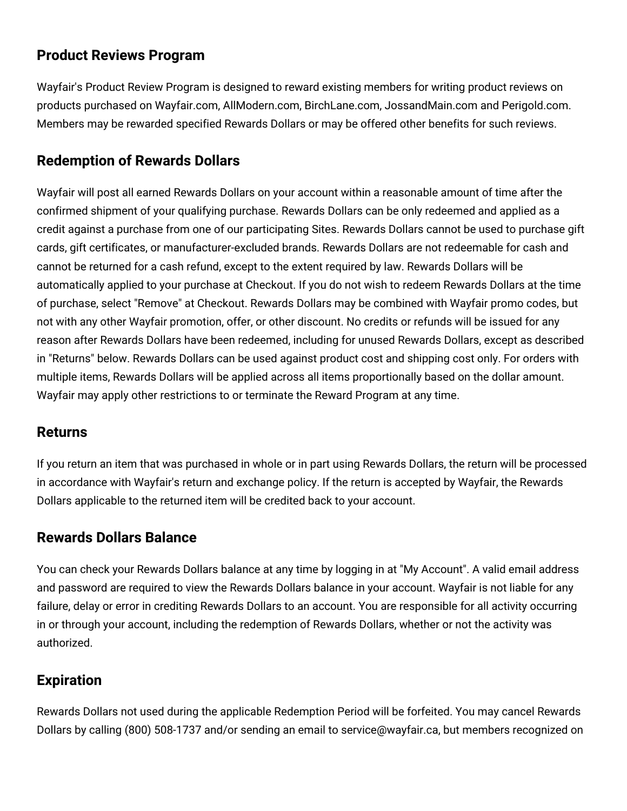### **Product Reviews Program**

Wayfair's Product Review Program is designed to reward existing members for writing product reviews on products purchased on Wayfair.com, AllModern.com, BirchLane.com, JossandMain.com and Perigold.com. Members may be rewarded specified Rewards Dollars or may be offered other benefits for such reviews.

#### **Redemption of Rewards Dollars**

Wayfair will post all earned Rewards Dollars on your account within a reasonable amount of time after the confirmed shipment of your qualifying purchase. Rewards Dollars can be only redeemed and applied as a credit against a purchase from one of our participating Sites. Rewards Dollars cannot be used to purchase gift cards, gift certificates, or manufacturer-excluded brands. Rewards Dollars are not redeemable for cash and cannot be returned for a cash refund, except to the extent required by law. Rewards Dollars will be automatically applied to your purchase at Checkout. If you do not wish to redeem Rewards Dollars at the time of purchase, select "Remove" at Checkout. Rewards Dollars may be combined with Wayfair promo codes, but not with any other Wayfair promotion, offer, or other discount. No credits or refunds will be issued for any reason after Rewards Dollars have been redeemed, including for unused Rewards Dollars, except as described in "Returns" below. Rewards Dollars can be used against product cost and shipping cost only. For orders with multiple items, Rewards Dollars will be applied across all items proportionally based on the dollar amount. Wayfair may apply other restrictions to or terminate the Reward Program at any time.

#### **Returns**

If you return an item that was purchased in whole or in part using Rewards Dollars, the return will be processed in accordance with Wayfair's return and exchange policy. If the return is accepted by Wayfair, the Rewards Dollars applicable to the returned item will be credited back to your account.

#### **Rewards Dollars Balance**

You can check your Rewards Dollars balance at any time by logging in at "My Account". A valid email address and password are required to view the Rewards Dollars balance in your account. Wayfair is not liable for any failure, delay or error in crediting Rewards Dollars to an account. You are responsible for all activity occurring in or through your account, including the redemption of Rewards Dollars, whether or not the activity was authorized.

### **Expiration**

Rewards Dollars not used during the applicable Redemption Period will be forfeited. You may cancel Rewards Dollars by calling (800) 508-1737 and/or sending an email to service@wayfair.ca, but members recognized on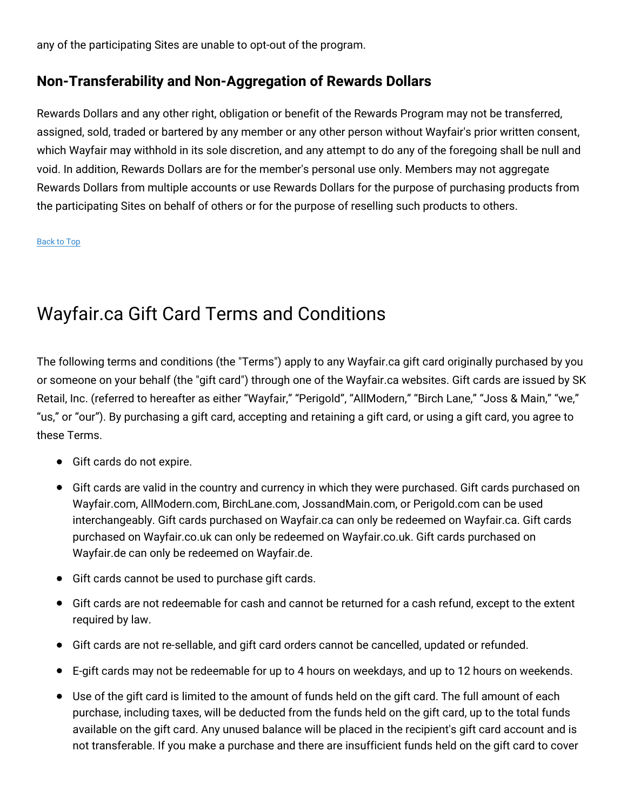any of the participating Sites are unable to opt-out of the program.

#### **Non-Transferability and Non-Aggregation of Rewards Dollars**

Rewards Dollars and any other right, obligation or benefit of the Rewards Program may not be transferred, assigned, sold, traded or bartered by any member or any other person without Wayfair's prior written consent, which Wayfair may withhold in its sole discretion, and any attempt to do any of the foregoing shall be null and void. In addition, Rewards Dollars are for the member's personal use only. Members may not aggregate Rewards Dollars from multiple accounts or use Rewards Dollars for the purpose of purchasing products from the participating Sites on behalf of others or for the purpose of reselling such products to others.

#### [Back](#top) to Top

# Wayfair.ca Gift Card Terms and Conditions

The following terms and conditions (the "Terms") apply to any Wayfair.ca gift card originally purchased by you or someone on your behalf (the "gift card") through one of the Wayfair.ca websites. Gift cards are issued by SK Retail, Inc. (referred to hereafter as either "Wayfair," "Perigold", "AllModern," "Birch Lane," "Joss & Main," "we," "us," or "our"). By purchasing a gift card, accepting and retaining a gift card, or using a gift card, you agree to these Terms.

- Gift cards do not expire.
- Gift cards are valid in the country and currency in which they were purchased. Gift cards purchased on Wayfair.com, AllModern.com, BirchLane.com, JossandMain.com, or Perigold.com can be used interchangeably. Gift cards purchased on Wayfair.ca can only be redeemed on Wayfair.ca. Gift cards purchased on Wayfair.co.uk can only be redeemed on Wayfair.co.uk. Gift cards purchased on Wayfair.de can only be redeemed on Wayfair.de.
- Gift cards cannot be used to purchase gift cards.
- Gift cards are not redeemable for cash and cannot be returned for a cash refund, except to the extent required by law.
- Gift cards are not re-sellable, and gift card orders cannot be cancelled, updated or refunded.
- E-gift cards may not be redeemable for up to 4 hours on weekdays, and up to 12 hours on weekends.
- Use of the gift card is limited to the amount of funds held on the gift card. The full amount of each purchase, including taxes, will be deducted from the funds held on the gift card, up to the total funds available on the gift card. Any unused balance will be placed in the recipient's gift card account and is not transferable. If you make a purchase and there are insufficient funds held on the gift card to cover